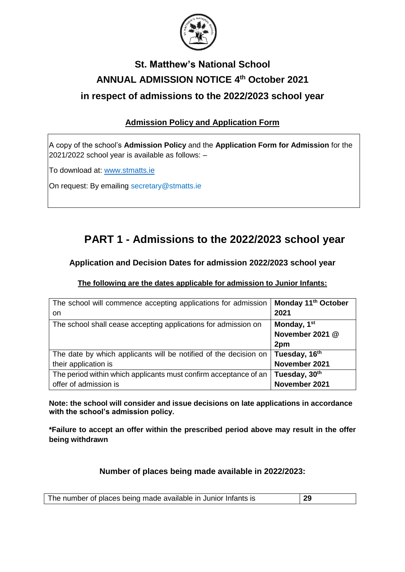

# **St. Matthew's National School ANNUAL ADMISSION NOTICE 4 th October 2021 in respect of admissions to the 2022/2023 school year**

### **Admission Policy and Application Form**

A copy of the school's **Admission Policy** and the **Application Form for Admission** for the 2021/2022 school year is available as follows: –

To download at: www.stmatts.ie

On request: By emailing secretary@stmatts.ie

# **PART 1 - Admissions to the 2022/2023 school year**

### **Application and Decision Dates for admission 2022/2023 school year**

#### **The following are the dates applicable for admission to Junior Infants:**

| The school will commence accepting applications for admission    | Monday 11 <sup>th</sup> October |
|------------------------------------------------------------------|---------------------------------|
| on                                                               | 2021                            |
| The school shall cease accepting applications for admission on   | Monday, 1 <sup>st</sup>         |
|                                                                  | November 2021 @                 |
|                                                                  | 2pm                             |
| The date by which applicants will be notified of the decision on | Tuesday, 16 <sup>th</sup>       |
| their application is                                             | November 2021                   |
| The period within which applicants must confirm acceptance of an | Tuesday, 30th                   |
| offer of admission is                                            | November 2021                   |

**Note: the school will consider and issue decisions on late applications in accordance with the school's admission policy.**

**\*Failure to accept an offer within the prescribed period above may result in the offer being withdrawn**

#### **Number of places being made available in 2022/2023:**

| The number of places being made available in Junior Infants is | -29 |
|----------------------------------------------------------------|-----|
|----------------------------------------------------------------|-----|